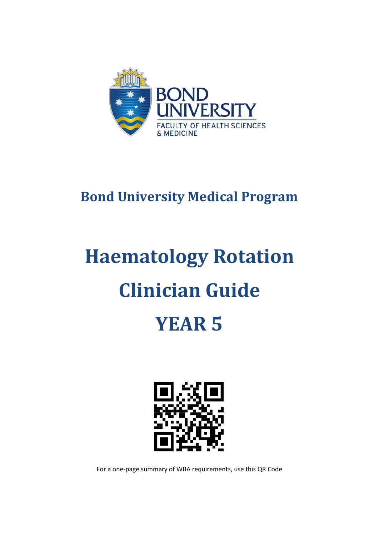

# **Bond University Medical Program**

# **Haematology Rotation Clinician Guide YEAR 5**



For a one-page summary of WBA requirements, use this QR Code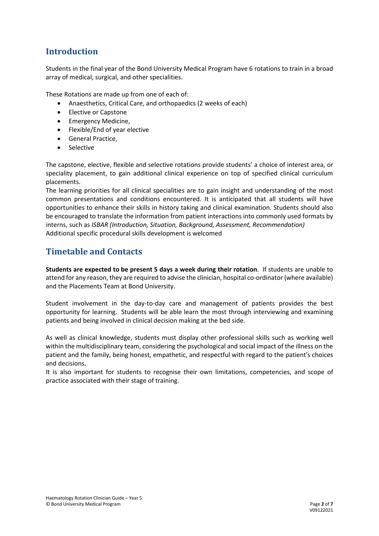## **Introduction**

Students in the final year of the Bond University Medical Program have 6 rotations to train in a broad array of medical, surgical, and other specialities.

These Rotations are made up from one of each of:

- Anaesthetics, Critical Care, and orthopaedics (2 weeks of each)
- Elective or Capstone
- Emergency Medicine,
- Flexible/End of year elective
- General Practice,
- Selective

The capstone, elective, flexible and selective rotations provide students' a choice of interest area, or speciality placement, to gain additional clinical experience on top of specified clinical curriculum placements.

The learning priorities for all clinical specialities are to gain insight and understanding of the most common presentations and conditions encountered. It is anticipated that all students will have opportunities to enhance their skills in history taking and clinical examination. Students should also be encouraged to translate the information from patient interactions into commonly used formats by interns, such as *ISBAR (Introduction, Situation, Background, Assessment, Recommendation)* Additional specific procedural skills development is welcomed

#### **Timetable and Contacts**

**Students are expected to be present 5 days a week during their rotation**. If students are unable to attend for any reason, they are required to advise the clinician, hospital co-ordinator (where available) and the Placements Team at Bond University.

Student involvement in the day-to-day care and management of patients provides the best opportunity for learning. Students will be able learn the most through interviewing and examining patients and being involved in clinical decision making at the bed side.

As well as clinical knowledge, students must display other professional skills such as working well within the multidisciplinary team, considering the psychological and social impact of the illness on the patient and the family, being honest, empathetic, and respectful with regard to the patient's choices and decisions.

It is also important for students to recognise their own limitations, competencies, and scope of practice associated with their stage of training.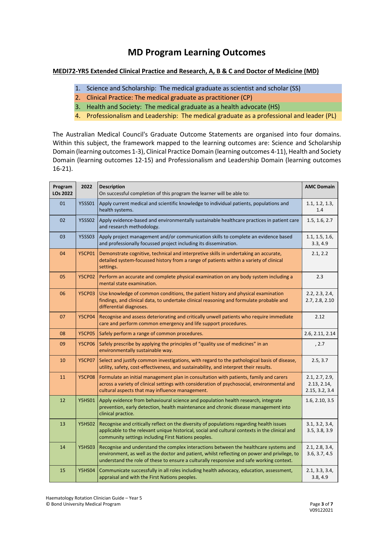# **MD Program Learning Outcomes**

#### **MEDI72-YR5 Extended Clinical Practice and Research, A, B & C and Doctor of Medicine (MD)**

- 1. Science and Scholarship: The medical graduate as scientist and scholar (SS)
- 2. Clinical Practice: The medical graduate as practitioner (CP)
- 3. Health and Society: The medical graduate as a health advocate (HS)
- 4. Professionalism and Leadership: The medical graduate as a professional and leader (PL)

The Australian Medical Council's Graduate Outcome Statements are organised into four domains. Within this subject, the framework mapped to the learning outcomes are: Science and Scholarship Domain (learning outcomes 1-3), Clinical Practice Domain (learning outcomes 4-11), Health and Society Domain (learning outcomes 12-15) and Professionalism and Leadership Domain (learning outcomes 16-21).

| Program<br>LOs 2022 | 2022          | <b>Description</b><br>On successful completion of this program the learner will be able to:                                                                                                                                                                                      | <b>AMC Domain</b>                               |
|---------------------|---------------|----------------------------------------------------------------------------------------------------------------------------------------------------------------------------------------------------------------------------------------------------------------------------------|-------------------------------------------------|
| 01                  | <b>Y5SS01</b> | Apply current medical and scientific knowledge to individual patients, populations and<br>health systems.                                                                                                                                                                        | 1.1, 1.2, 1.3,<br>1.4                           |
| 02                  | <b>Y5SS02</b> | Apply evidence-based and environmentally sustainable healthcare practices in patient care<br>and research methodology.                                                                                                                                                           | 1.5, 1.6, 2.7                                   |
| 03                  | <b>Y5SS03</b> | Apply project management and/or communication skills to complete an evidence based<br>and professionally focussed project including its dissemination.                                                                                                                           | 1.1, 1.5, 1.6,<br>3.3, 4.9                      |
| 04                  | <b>Y5CP01</b> | Demonstrate cognitive, technical and interpretive skills in undertaking an accurate,<br>detailed system-focussed history from a range of patients within a variety of clinical<br>settings.                                                                                      | 2.1, 2.2                                        |
| 05                  | <b>Y5CP02</b> | Perform an accurate and complete physical examination on any body system including a<br>mental state examination.                                                                                                                                                                | 2.3                                             |
| 06                  | <b>Y5CP03</b> | Use knowledge of common conditions, the patient history and physical examination<br>findings, and clinical data, to undertake clinical reasoning and formulate probable and<br>differential diagnoses.                                                                           | 2.2, 2.3, 2.4,<br>2.7, 2.8, 2.10                |
| 07                  | <b>Y5CP04</b> | Recognise and assess deteriorating and critically unwell patients who require immediate<br>care and perform common emergency and life support procedures.                                                                                                                        | 2.12                                            |
| 08                  | <b>Y5CP05</b> | Safely perform a range of common procedures.                                                                                                                                                                                                                                     | 2.6, 2.11, 2.14                                 |
| 09                  | <b>Y5CP06</b> | Safely prescribe by applying the principles of "quality use of medicines" in an<br>environmentally sustainable way.                                                                                                                                                              | , 2.7                                           |
| 10                  | <b>Y5CP07</b> | Select and justify common investigations, with regard to the pathological basis of disease,<br>utility, safety, cost-effectiveness, and sustainability, and interpret their results.                                                                                             | 2.5, 3.7                                        |
| 11                  | <b>Y5CP08</b> | Formulate an initial management plan in consultation with patients, family and carers<br>across a variety of clinical settings with consideration of psychosocial, environmental and<br>cultural aspects that may influence management.                                          | 2.1, 2.7, 2.9,<br>2.13, 2.14,<br>2.15, 3.2, 3.4 |
| 12                  | <b>Y5HS01</b> | Apply evidence from behavioural science and population health research, integrate<br>prevention, early detection, health maintenance and chronic disease management into<br>clinical practice.                                                                                   | 1.6, 2.10, 3.5                                  |
| 13                  | <b>Y5HS02</b> | Recognise and critically reflect on the diversity of populations regarding health issues<br>applicable to the relevant unique historical, social and cultural contexts in the clinical and<br>community settings including First Nations peoples.                                | 3.1, 3.2, 3.4,<br>3.5, 3.8, 3.9                 |
| 14                  | <b>Y5HS03</b> | Recognise and understand the complex interactions between the healthcare systems and<br>environment, as well as the doctor and patient, whilst reflecting on power and privilege, to<br>understand the role of these to ensure a culturally responsive and safe working context. | 2.1, 2.8, 3.4,<br>3.6, 3.7, 4.5                 |
| 15                  | <b>Y5HS04</b> | Communicate successfully in all roles including health advocacy, education, assessment,<br>appraisal and with the First Nations peoples.                                                                                                                                         | 2.1, 3.3, 3.4,<br>3.8, 4.9                      |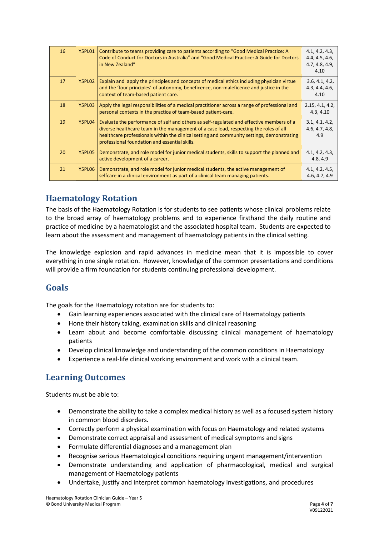| 16 | Y5PL01 | Contribute to teams providing care to patients according to "Good Medical Practice: A<br>Code of Conduct for Doctors in Australia" and "Good Medical Practice: A Guide for Doctors<br>in New Zealand"                                                                                                                            | 4.1, 4.2, 4.3,<br>4.4, 4.5, 4.6,<br>4.7, 4.8, 4.9,<br>4.10 |
|----|--------|----------------------------------------------------------------------------------------------------------------------------------------------------------------------------------------------------------------------------------------------------------------------------------------------------------------------------------|------------------------------------------------------------|
| 17 | Y5PL02 | Explain and apply the principles and concepts of medical ethics including physician virtue<br>and the 'four principles' of autonomy, beneficence, non-maleficence and justice in the<br>context of team-based patient care.                                                                                                      | 3.6, 4.1, 4.2,<br>4.3, 4.4, 4.6,<br>4.10                   |
| 18 | Y5PL03 | Apply the legal responsibilities of a medical practitioner across a range of professional and<br>personal contexts in the practice of team-based patient-care.                                                                                                                                                                   | 2.15, 4.1, 4.2,<br>4.3, 4.10                               |
| 19 | Y5PL04 | Evaluate the performance of self and others as self-regulated and effective members of a<br>diverse healthcare team in the management of a case load, respecting the roles of all<br>healthcare professionals within the clinical setting and community settings, demonstrating<br>professional foundation and essential skills. | 3.1, 4.1, 4.2,<br>4.6, 4.7, 4.8,<br>4.9                    |
| 20 | Y5PL05 | Demonstrate, and role model for junior medical students, skills to support the planned and<br>active development of a career.                                                                                                                                                                                                    | 4.1, 4.2, 4.3,<br>4.8, 4.9                                 |
| 21 | Y5PL06 | Demonstrate, and role model for junior medical students, the active management of<br>selfcare in a clinical environment as part of a clinical team managing patients.                                                                                                                                                            | 4.1, 4.2, 4.5,<br>4.6, 4.7, 4.9                            |

### **Haematology Rotation**

The basis of the Haematology Rotation is for students to see patients whose clinical problems relate to the broad array of haematology problems and to experience firsthand the daily routine and practice of medicine by a haematologist and the associated hospital team. Students are expected to learn about the assessment and management of haematology patients in the clinical setting.

The knowledge explosion and rapid advances in medicine mean that it is impossible to cover everything in one single rotation. However, knowledge of the common presentations and conditions will provide a firm foundation for students continuing professional development.

### **Goals**

The goals for the Haematology rotation are for students to:

- Gain learning experiences associated with the clinical care of Haematology patients
- Hone their history taking, examination skills and clinical reasoning
- Learn about and become comfortable discussing clinical management of haematology patients
- Develop clinical knowledge and understanding of the common conditions in Haematology
- Experience a real-life clinical working environment and work with a clinical team.

#### **Learning Outcomes**

Students must be able to:

- Demonstrate the ability to take a complex medical history as well as a focused system history in common blood disorders.
- Correctly perform a physical examination with focus on Haematology and related systems
- Demonstrate correct appraisal and assessment of medical symptoms and signs
- Formulate differential diagnoses and a management plan
- Recognise serious Haematological conditions requiring urgent management/intervention
- Demonstrate understanding and application of pharmacological, medical and surgical management of Haematology patients
- Undertake, justify and interpret common haematology investigations, and procedures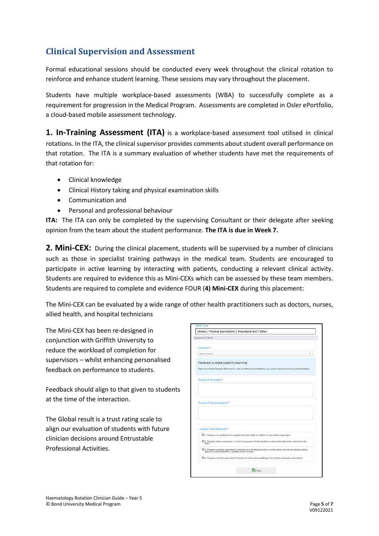# **Clinical Supervision and Assessment**

Formal educational sessions should be conducted every week throughout the clinical rotation to reinforce and enhance student learning. These sessions may vary throughout the placement.

Students have multiple workplace-based assessments (WBA) to successfully complete as a requirement for progression in the Medical Program. Assessments are completed in Osler ePortfolio, a cloud-based mobile assessment technology.

1. In-Training Assessment (ITA) is a workplace-based assessment tool utilised in clinical rotations. In the ITA, the clinical supervisor provides comments about student overall performance on that rotation. The ITA is a summary evaluation of whether students have met the requirements of that rotation for:

- Clinical knowledge
- Clinical History taking and physical examination skills
- Communication and
- Personal and professional behaviour

**ITA:** The ITA can only be completed by the supervising Consultant or their delegate after seeking opinion from the team about the student performance. **The ITA is due in Week 7.**

**2. Mini-CEX:** During the clinical placement, students will be supervised by a number of clinicians such as those in specialist training pathways in the medical team. Students are encouraged to participate in active learning by interacting with patients, conducting a relevant clinical activity. Students are required to evidence this as Mini-CEXs which can be assessed by these team members. Students are required to complete and evidence FOUR (**4) Mini-CEX** during this placement:

The Mini-CEX can be evaluated by a wide range of other health practitioners such as doctors, nurses, allied health, and hospital technicians

The Mini-CEX has been re-designed in conjunction with Griffith University to reduce the workload of completion for supervisors – whilst enhancing personalised feedback on performance to students.

Feedback should align to that given to students at the time of the interaction.

The Global result is a trust rating scale to align our evaluation of students with future clinician decisions around Entrustable Professional Activities.

| History / Physical examination / Procedural Skill / Other<br>Assessment Criteria |                                                                                                                                                                         |  |  |
|----------------------------------------------------------------------------------|-------------------------------------------------------------------------------------------------------------------------------------------------------------------------|--|--|
|                                                                                  |                                                                                                                                                                         |  |  |
| Location*                                                                        |                                                                                                                                                                         |  |  |
| Select Location                                                                  |                                                                                                                                                                         |  |  |
| Feedback to assist student's learning:                                           |                                                                                                                                                                         |  |  |
|                                                                                  | Please describe the Student's Performance: what was effective and ineffective, your overall impression and any specific feedback.                                       |  |  |
| Areas of strength:*                                                              |                                                                                                                                                                         |  |  |
|                                                                                  |                                                                                                                                                                         |  |  |
|                                                                                  |                                                                                                                                                                         |  |  |
|                                                                                  |                                                                                                                                                                         |  |  |
| Areas of development:*                                                           |                                                                                                                                                                         |  |  |
|                                                                                  |                                                                                                                                                                         |  |  |
|                                                                                  |                                                                                                                                                                         |  |  |
|                                                                                  |                                                                                                                                                                         |  |  |
|                                                                                  |                                                                                                                                                                         |  |  |
|                                                                                  |                                                                                                                                                                         |  |  |
|                                                                                  | O 1. Requires my assistance to complete this task safely in addition to close direct supervision                                                                        |  |  |
| Global Overall result:*<br>task)                                                 | O 2. Requires direct supervision (I need to be present with the student to observe the interaction and review the                                                       |  |  |
|                                                                                  | O 3. Requires proximal supervision (I need to be in an adjacent room or on the same ward as the student and be<br>able to provide immediate or detailed review of task) |  |  |
|                                                                                  | O 4. Requires minimal supervision (I need to be in the same building as the student and easily contactable)                                                             |  |  |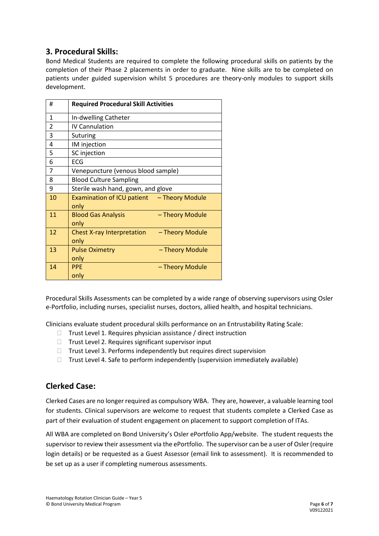#### **3. Procedural Skills:**

Bond Medical Students are required to complete the following procedural skills on patients by the completion of their Phase 2 placements in order to graduate. Nine skills are to be completed on patients under guided supervision whilst 5 procedures are theory-only modules to support skills development.

| #              | <b>Required Procedural Skill Activities</b>                  |  |  |
|----------------|--------------------------------------------------------------|--|--|
| 1              | In-dwelling Catheter                                         |  |  |
| 2              | <b>IV Cannulation</b>                                        |  |  |
| 3              | <b>Suturing</b>                                              |  |  |
| $\overline{4}$ | IM injection                                                 |  |  |
| 5              | SC injection                                                 |  |  |
| 6              | ECG                                                          |  |  |
| 7              | Venepuncture (venous blood sample)                           |  |  |
| 8              | <b>Blood Culture Sampling</b>                                |  |  |
| 9              | Sterile wash hand, gown, and glove                           |  |  |
| 10             | Examination of ICU patient - Theory Module<br>only           |  |  |
| 11             | - Theory Module<br><b>Blood Gas Analysis</b><br>only         |  |  |
| 12             | - Theory Module<br><b>Chest X-ray Interpretation</b><br>only |  |  |
| 13             | <b>Pulse Oximetry</b><br>- Theory Module<br>only             |  |  |
| 14             | <b>PPE</b><br>- Theory Module<br>only                        |  |  |

Procedural Skills Assessments can be completed by a wide range of observing supervisors using Osler e-Portfolio, including nurses, specialist nurses, doctors, allied health, and hospital technicians.

Clinicians evaluate student procedural skills performance on an Entrustability Rating Scale:

- $\Box$  Trust Level 1. Requires physician assistance / direct instruction
- $\Box$  Trust Level 2. Requires significant supervisor input
- $\Box$  Trust Level 3. Performs independently but requires direct supervision
- $\Box$  Trust Level 4. Safe to perform independently (supervision immediately available)

#### **Clerked Case:**

Clerked Cases are no longer required as compulsory WBA. They are, however, a valuable learning tool for students. Clinical supervisors are welcome to request that students complete a Clerked Case as part of their evaluation of student engagement on placement to support completion of ITAs.

All WBA are completed on Bond University's Osler ePortfolio App/website. The student requests the supervisor to review their assessment via the ePortfolio. The supervisor can be a user of Osler (require login details) or be requested as a Guest Assessor (email link to assessment). It is recommended to be set up as a user if completing numerous assessments.